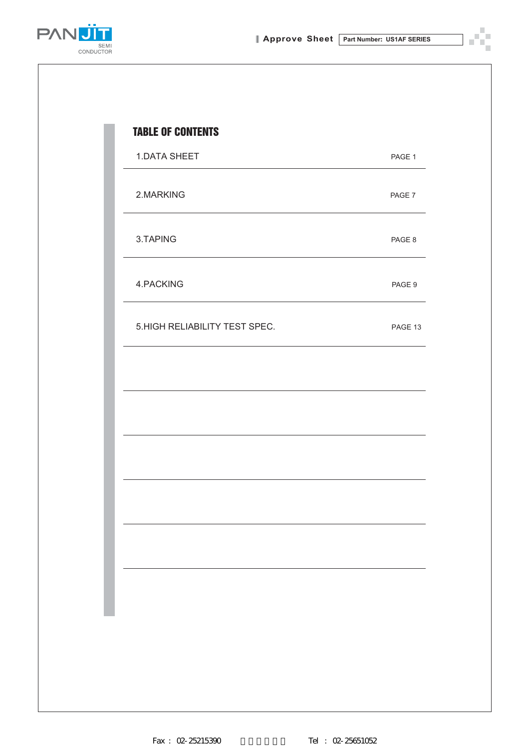Ÿ. n)



| <b>1.DATA SHEET</b>            | PAGE 1  |
|--------------------------------|---------|
| 2.MARKING                      | PAGE 7  |
| 3.TAPING                       | PAGE 8  |
| 4.PACKING                      | PAGE 9  |
| 5. HIGH RELIABILITY TEST SPEC. | PAGE 13 |
|                                |         |
|                                |         |
|                                |         |
|                                |         |
|                                |         |
|                                |         |
|                                |         |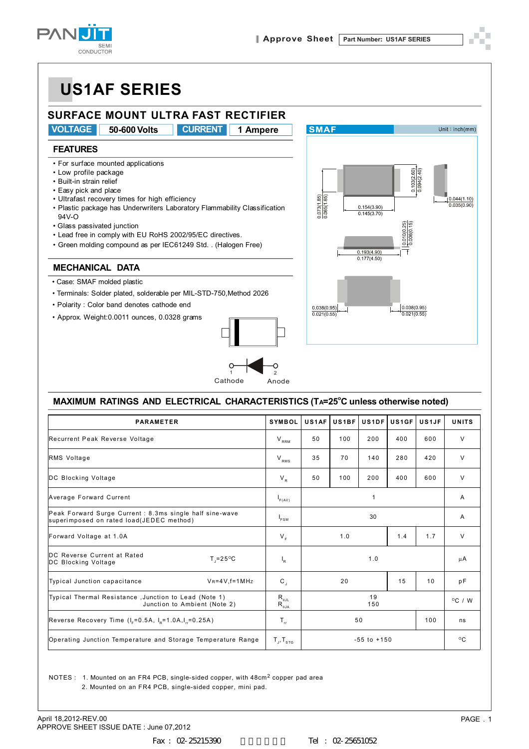



#### **MAXIMUM RATINGS AND ELECTRICAL CHARACTERISTICS (TA=25<sup>o</sup>C unless otherwise noted)**

| <b>PARAMETER</b>                                                                                     | <b>SYMBOL</b>                                                                            | US1AF     | US1BF | <b>US1DF</b>    | US1GF | US1JF            | <b>UNITS</b> |
|------------------------------------------------------------------------------------------------------|------------------------------------------------------------------------------------------|-----------|-------|-----------------|-------|------------------|--------------|
| Recurrent Peak Reverse Voltage                                                                       | $V_{\text{RRM}}$                                                                         | 50        | 100   | 200             | 400   | 600              | $\vee$       |
| RMS Voltage                                                                                          | $V_{RMS}$                                                                                | 35        | 70    | 140             | 280   | 420              | V            |
| DC Blocking Voltage                                                                                  | $V_{R}$                                                                                  | 50        | 100   | 200             | 400   | 600              | $\vee$       |
| Average Forward Current                                                                              | F(AV)                                                                                    |           |       | 1               |       |                  | A            |
| Peak Forward Surge Current : 8.3ms single half sine-wave<br>superimposed on rated load(JEDEC method) | $I_{FSM}$                                                                                |           |       | 30              |       |                  | A            |
| Forward Voltage at 1.0A                                                                              | $V_F$                                                                                    |           | 1.0   |                 | 1.4   | 1.7              | $\vee$       |
| DC Reverse Current at Rated<br>$T = 25^{\circ}C$<br>DC Blocking Voltage                              | $\mathsf{I}_{\mathsf{R}}$                                                                |           |       | 1.0             |       |                  | μA           |
| Typical Junction capacitance<br>$V_R = 4V$ , f=1 MHz                                                 | $\mathbf{C}_{1}$                                                                         |           | 20    |                 | 15    | 10               | pF           |
| Typical Thermal Resistance, Junction to Lead (Note 1)<br>Junction to Ambient (Note 2)                | $\mathsf{R}_{\scriptscriptstyle\theta\mathsf{JL}}$<br>$R_{\scriptscriptstyle{\theta}$ JA | 19<br>150 |       |                 |       | $^{\circ}$ C / W |              |
| Reverse Recovery Time $(I_e=0.5A, I_o=1.0A, I_e=0.25A)$                                              | $T_{\rm nr}$                                                                             |           |       | 50              |       | 100              | ns           |
| Operating Junction Temperature and Storage Temperature Range                                         | $T_{J}$ , $T_{STG}$                                                                      |           |       | $-55$ to $+150$ |       |                  | $^{\circ}$ C |

NOTES : 1. Mounted on an FR4 PCB, single-sided copper, with  $48 \text{cm}^2$  copper pad area

2. Mounted on an FR4 PCB, single-sided copper, mini pad.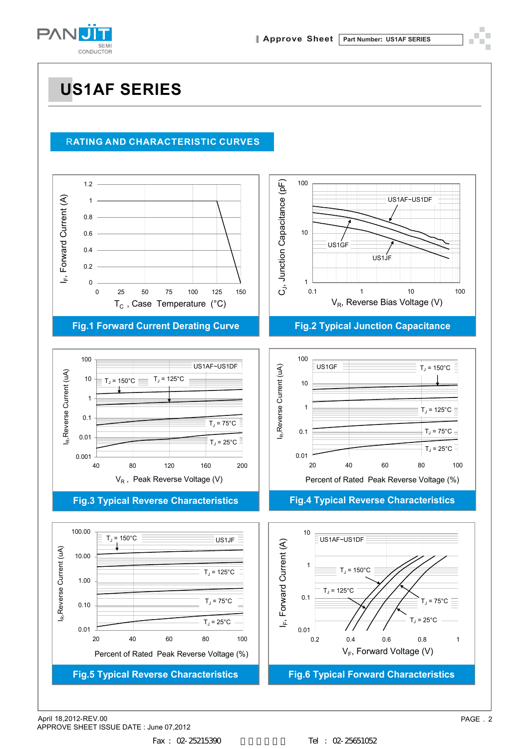

#### <sup>R</sup>**ATING AND CHARACTERISTIC CURVES**



#### **Fig.1 Forward Current Derating Curve**



#### **Fig.3 Typical Reverse Characteristics**





**Fig.2 Typical Junction Capacitance**



#### **Fig.4 Typical Reverse Characteristics**



April 18,2012-REV.00 PAGE . 2 APPROVE SHEET ISSUE DATE : June 07,2012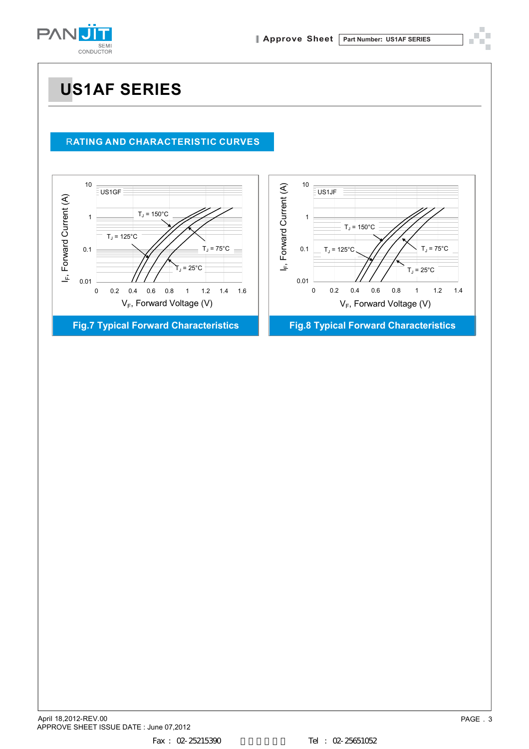



#### <sup>R</sup>**ATING AND CHARACTERISTIC CURVES**

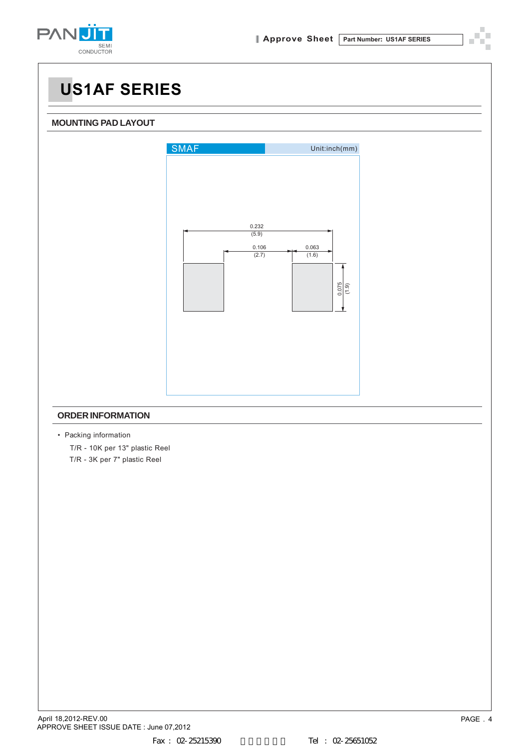

#### **MOUNTING PAD LAYOUT**



#### **ORDER INFORMATION**

• Packing information

 T/R - 10K per 13" plastic Reel T/R - 3K per 7" plastic Reel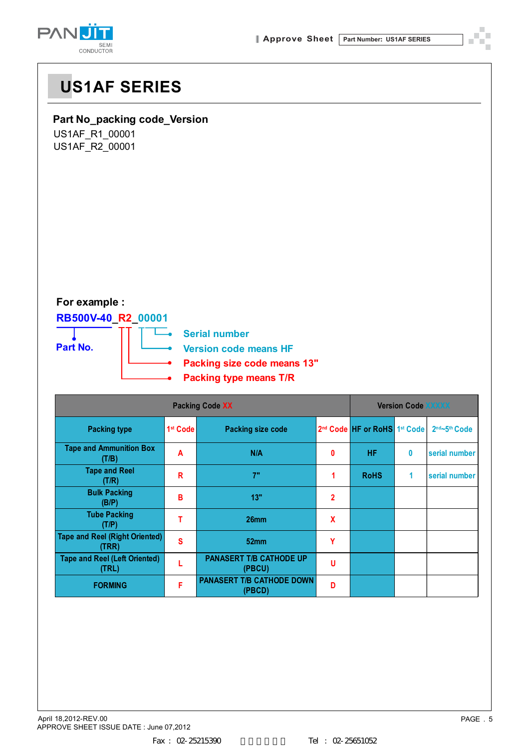



### **Part No\_packing code\_Version**

US1AF\_R1\_00001 US1AF\_R2\_00001

### **For example :**

### **RB500V-40\_R2\_00001**



|                                                |                      | <b>Version Code XXXXX</b>                  |                           |                                                      |   |                             |
|------------------------------------------------|----------------------|--------------------------------------------|---------------------------|------------------------------------------------------|---|-----------------------------|
| <b>Packing type</b>                            | 1 <sup>st</sup> Code | Packing size code                          |                           | 2 <sup>nd</sup> Code HF or RoHS 1 <sup>st</sup> Code |   | $2nd$ ~5 <sup>th</sup> Code |
| <b>Tape and Ammunition Box</b><br>(T/B)        | A                    | N/A                                        | 0                         | <b>HF</b>                                            | 0 | serial number               |
| <b>Tape and Reel</b><br>(T/R)                  | R                    | 7"                                         | 1                         | <b>RoHS</b>                                          | 1 | serial number               |
| <b>Bulk Packing</b><br>(B/P)                   | В                    | 13"                                        | $\mathbf 2$               |                                                      |   |                             |
| <b>Tube Packing</b><br>(T/P)                   | т                    | 26 <sub>mm</sub>                           | $\boldsymbol{\mathsf{x}}$ |                                                      |   |                             |
| <b>Tape and Reel (Right Oriented)</b><br>(TRR) | S                    | 52 <sub>mm</sub>                           | Υ                         |                                                      |   |                             |
| <b>Tape and Reel (Left Oriented)</b><br>(TRL)  |                      | <b>PANASERT T/B CATHODE UP</b><br>(PBCU)   | u                         |                                                      |   |                             |
| <b>FORMING</b>                                 | F                    | <b>PANASERT T/B CATHODE DOWN</b><br>(PBCD) | D                         |                                                      |   |                             |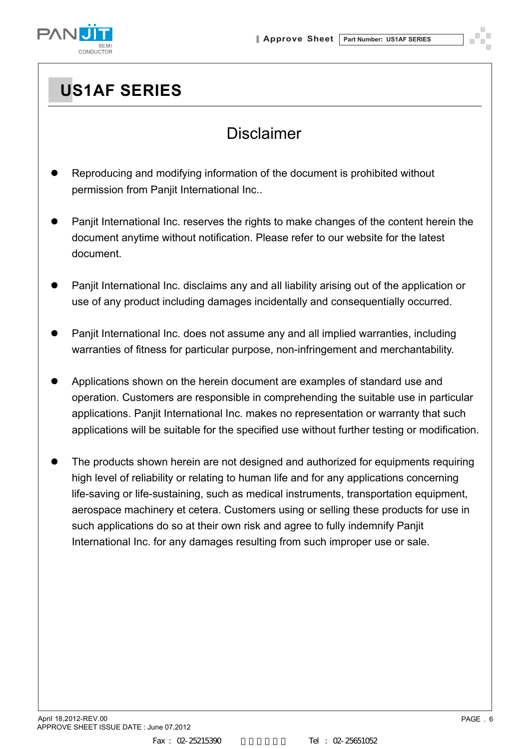

### Disclaimer

- Reproducing and modifying information of the document is prohibited without permission from Panjit International Inc..
- Panjit International Inc. reserves the rights to make changes of the content herein the document anytime without notification. Please refer to our website for the latest document.
- Panjit International Inc. disclaims any and all liability arising out of the application or use of any product including damages incidentally and consequentially occurred.
- Panjit International Inc. does not assume any and all implied warranties, including warranties of fitness for particular purpose, non-infringement and merchantability.
- Applications shown on the herein document are examples of standard use and operation. Customers are responsible in comprehending the suitable use in particular applications. Panjit International Inc. makes no representation or warranty that such applications will be suitable for the specified use without further testing or modification.
- The products shown herein are not designed and authorized for equipments requiring high level of reliability or relating to human life and for any applications concerning life-saving or life-sustaining, such as medical instruments, transportation equipment, aerospace machinery et cetera. Customers using or selling these products for use in such applications do so at their own risk and agree to fully indemnify Panjit International Inc. for any damages resulting from such improper use or sale.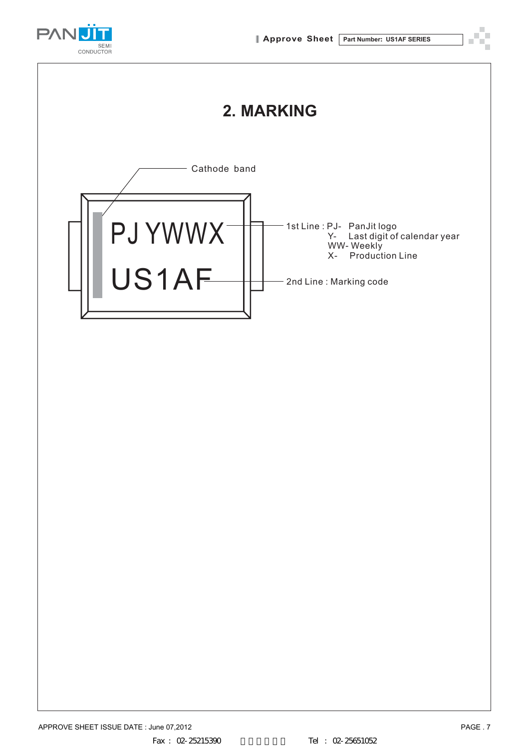

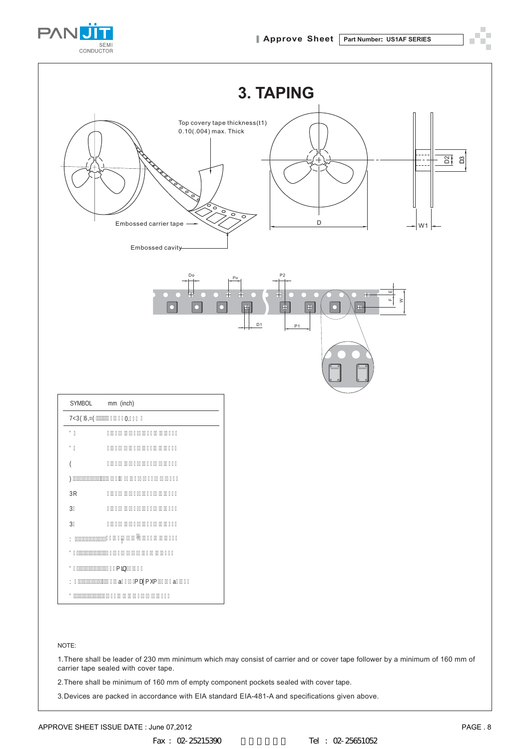

| <b>3. TAPING</b>                                                                                                                                                                                                              |
|-------------------------------------------------------------------------------------------------------------------------------------------------------------------------------------------------------------------------------|
| Top covery tape thickness(t1)<br>$0.10(.004)$ max. Thick<br>$\frac{21}{21}$ $2$<br>$- - -$<br>$^{\circ}$ 。<br>$\circ$<br>$\circ$<br>$\overline{\circ}$<br>$\mathsf D$<br>Embossed carrier tape<br>$- W1 $<br>Embossed cavity- |
| Do<br>P2<br>Po<br>피<br>⋤<br>$+$<br>$\mathbf{u}$<br>$\gtrsim$<br>$\overline{\phantom{0}}$<br>$\ddot{\Phi}$<br>$\overset{\rightharpoonup}{\div}$<br>$\bullet$<br>市<br>C<br>n<br>D <sub>1</sub><br>P <sub>1</sub>                |
| SYMBOL<br>mm (inch)                                                                                                                                                                                                           |
| HMD9G419 - 38"\$\$fD.(+&Ł                                                                                                                                                                                                     |
| 8\$<br>$\%$ ) \$ - \$"%\$f\$"\$) - - \$"\$\$&L                                                                                                                                                                                |
| 8%<br>$\%$ \$\$ - \$"\$) f\$"\$' - - \$"\$\$&L                                                                                                                                                                                |
| 9<br>$%+$ ) - \$"%\$f\$"\$*- - \$"\$\$(Ł                                                                                                                                                                                      |
|                                                                                                                                                                                                                               |

#### NOTE:

1.There shall be leader of 230 mm minimum which may consist of carrier and or cover tape follower by a minimum of 160 mm of carrier tape sealed with cover tape.

2.There shall be minimum of 160 mm of empty component pockets sealed with cover tape.

3.Devices are packed in accordance with EIA standard EIA-481-A and specifications given above.

3R   $D\%$  ("\$\$ - \$"\\$f\$"\%) + - \$"\$\$( \L D&  $8!$ \$\$ - \$"\$) f\$"\$\$- - \$"\$\$&L

: ' 

 :aPD[PXPa ' 

8' " " " " " " " " " " (Ł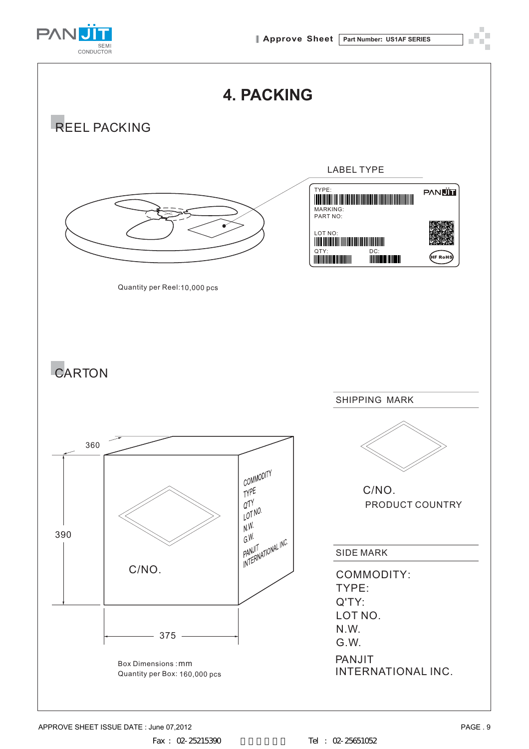

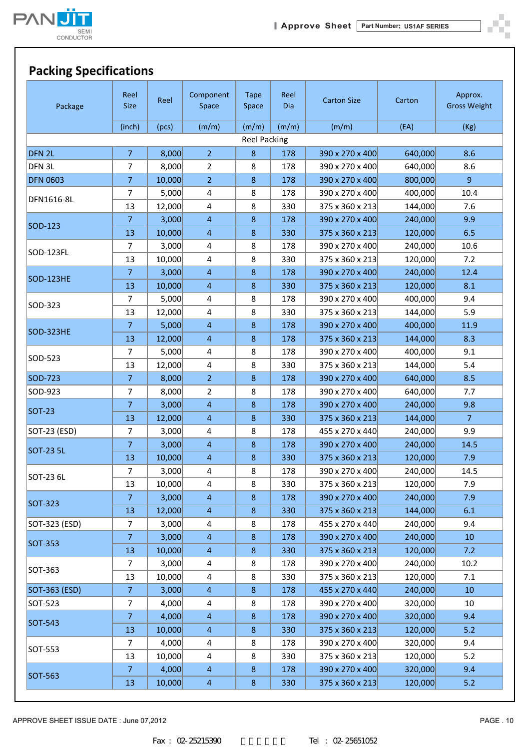



| Package           | Reel<br><b>Size</b> | Reel   | Component<br>Space      | <b>Tape</b><br>Space | Reel<br><b>Dia</b> | <b>Carton Size</b> | Carton  | Approx.<br><b>Gross Weight</b> |
|-------------------|---------------------|--------|-------------------------|----------------------|--------------------|--------------------|---------|--------------------------------|
|                   | (inch)              | (pcs)  | (m/m)                   | (m/m)                | (m/m)              | (m/m)              | (EA)    | (Kg)                           |
|                   |                     |        |                         | <b>Reel Packing</b>  |                    |                    |         |                                |
| DFN <sub>2L</sub> | $\overline{7}$      | 8,000  | $\overline{2}$          | 8                    | 178                | 390 x 270 x 400    | 640,000 | 8.6                            |
| DFN 3L            | 7                   | 8,000  | $\overline{2}$          | 8                    | 178                | 390 x 270 x 400    | 640,000 | 8.6                            |
| <b>DFN 0603</b>   | $\overline{7}$      | 10,000 | $\overline{2}$          | $8\phantom{1}$       | 178                | 390 x 270 x 400    | 800,000 | 9 <sup>°</sup>                 |
| DFN1616-8L        | 7                   | 5,000  | 4                       | 8                    | 178                | 390 x 270 x 400    | 400,000 | 10.4                           |
|                   | 13                  | 12,000 | $\overline{4}$          | 8                    | 330                | 375 x 360 x 213    | 144,000 | 7.6                            |
| SOD-123           | $\overline{7}$      | 3,000  | $\overline{4}$          | $\bf 8$              | 178                | 390 x 270 x 400    | 240,000 | 9.9                            |
|                   | 13                  | 10,000 | $\overline{4}$          | $\bf 8$              | 330                | 375 x 360 x 213    | 120,000 | 6.5                            |
| SOD-123FL         | $\overline{7}$      | 3,000  | 4                       | 8                    | 178                | 390 x 270 x 400    | 240,000 | 10.6                           |
|                   | 13                  | 10,000 | 4                       | 8                    | 330                | 375 x 360 x 213    | 120,000 | 7.2                            |
| SOD-123HE         | $\overline{7}$      | 3,000  | $\overline{4}$          | $\bf 8$              | 178                | 390 x 270 x 400    | 240,000 | 12.4                           |
|                   | 13                  | 10,000 | $\overline{4}$          | $\bf 8$              | 330                | 375 x 360 x 213    | 120,000 | 8.1                            |
| SOD-323           | $\overline{7}$      | 5,000  | 4                       | 8                    | 178                | 390 x 270 x 400    | 400,000 | 9.4                            |
|                   | 13                  | 12,000 | 4                       | 8                    | 330                | 375 x 360 x 213    | 144,000 | 5.9                            |
| SOD-323HE         | $\overline{7}$      | 5,000  | $\overline{4}$          | $\bf 8$              | 178                | 390 x 270 x 400    | 400,000 | 11.9                           |
|                   | 13                  | 12,000 | $\overline{4}$          | $\bf 8$              | 178                | 375 x 360 x 213    | 144,000 | 8.3                            |
| SOD-523           | $\overline{7}$      | 5,000  | 4                       | 8                    | 178                | 390 x 270 x 400    | 400,000 | 9.1                            |
|                   | 13                  | 12,000 | 4                       | 8                    | 330                | 375 x 360 x 213    | 144,000 | 5.4                            |
| SOD-723           | $\overline{7}$      | 8,000  | $\overline{2}$          | $\bf 8$              | 178                | 390 x 270 x 400    | 640,000 | 8.5                            |
| SOD-923           | 7                   | 8,000  | $\overline{2}$          | 8                    | 178                | 390 x 270 x 400    | 640,000 | 7.7                            |
| <b>SOT-23</b>     | $\overline{7}$      | 3,000  | $\overline{4}$          | $\,8\,$              | 178                | 390 x 270 x 400    | 240,000 | 9.8                            |
|                   | 13                  | 12,000 | $\overline{4}$          | 8                    | 330                | 375 x 360 x 213    | 144,000 | $\overline{7}$                 |
| SOT-23 (ESD)      | $\overline{7}$      | 3,000  | 4                       | 8                    | 178                | 455 x 270 x 440    | 240,000 | 9.9                            |
| <b>SOT-23 5L</b>  | $\overline{7}$      | 3,000  | $\overline{4}$          | $\bf 8$              | 178                | 390 x 270 x 400    | 240,000 | 14.5                           |
|                   | 13                  | 10,000 | $\overline{4}$          | $8\phantom{1}$       | 330                | 375 x 360 x 213    | 120,000 | 7.9                            |
| SOT-23 6L         | 7                   | 3,000  | 4                       | 8                    | 178                | 390 x 270 x 400    | 240,000 | 14.5                           |
|                   | 13                  | 10,000 | 4                       | 8                    | 330                | 375 x 360 x 213    | 120,000 | 7.9                            |
| <b>SOT-323</b>    | 7                   | 3,000  | $\overline{4}$          | 8                    | 178                | 390 x 270 x 400    | 240,000 | 7.9                            |
|                   | 13                  | 12,000 | $\overline{4}$          | $\bf 8$              | 330                | 375 x 360 x 213    | 144,000 | 6.1                            |
| SOT-323 (ESD)     | $\overline{7}$      | 3,000  | 4                       | 8                    | 178                | 455 x 270 x 440    | 240,000 | 9.4                            |
| <b>SOT-353</b>    | $\overline{7}$      | 3,000  | $\overline{4}$          | $\,8\,$              | 178                | 390 x 270 x 400    | 240,000 | 10                             |
|                   | 13                  | 10,000 | $\overline{4}$          | $\bf 8$              | 330                | 375 x 360 x 213    | 120,000 | 7.2                            |
| SOT-363           | 7                   | 3,000  | 4                       | 8                    | 178                | 390 x 270 x 400    | 240,000 | 10.2                           |
|                   | 13                  | 10,000 | $\overline{\mathbf{4}}$ | 8                    | 330                | 375 x 360 x 213    | 120,000 | 7.1                            |
| SOT-363 (ESD)     | $\overline{7}$      | 3,000  | $\overline{4}$          | $\bf 8$              | 178                | 455 x 270 x 440    | 240,000 | 10                             |
| SOT-523           | 7                   | 4,000  | 4                       | 8                    | 178                | 390 x 270 x 400    | 320,000 | 10                             |
| <b>SOT-543</b>    | $\overline{7}$      | 4,000  | $\overline{4}$          | $\bf 8$              | 178                | 390 x 270 x 400    | 320,000 | 9.4                            |
|                   | 13                  | 10,000 | $\overline{4}$          | $\bf 8$              | 330                | 375 x 360 x 213    | 120,000 | 5.2                            |
| SOT-553           | 7                   | 4,000  | 4                       | 8                    | 178                | 390 x 270 x 400    | 320,000 | 9.4                            |
|                   | 13                  | 10,000 | 4                       | 8                    | 330                | 375 x 360 x 213    | 120,000 | 5.2                            |
| <b>SOT-563</b>    | $\overline{7}$      | 4,000  | $\overline{4}$          | $\bf 8$              | 178                | 390 x 270 x 400    | 320,000 | 9.4                            |
|                   | 13                  | 10,000 | $\overline{4}$          | $\bf 8$              | 330                | 375 x 360 x 213    | 120,000 | 5.2                            |

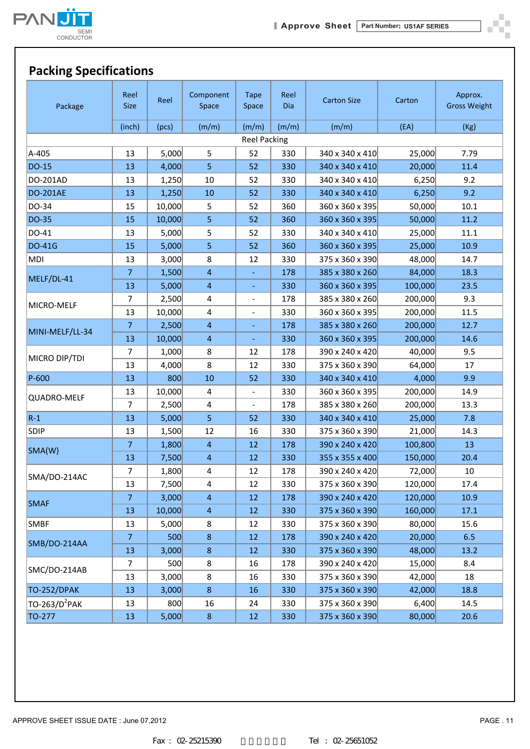



ð. шú

### **Packing Specifications**

| Package                   | Reel<br><b>Size</b> | Reel   | Component<br>Space | <b>Tape</b><br>Space     | Reel<br><b>Dia</b> | <b>Carton Size</b> | Carton  | Approx.<br><b>Gross Weight</b> |
|---------------------------|---------------------|--------|--------------------|--------------------------|--------------------|--------------------|---------|--------------------------------|
|                           | (inch)              | (pcs)  | (m/m)              | (m/m)                    | (m/m)              | (m/m)              | (EA)    | (Kg)                           |
|                           |                     |        |                    | <b>Reel Packing</b>      |                    |                    |         |                                |
| A-405                     | 13                  | 5,000  | 5                  | 52                       | 330                | 340 x 340 x 410    | 25,000  | 7.79                           |
| DO-15                     | 13                  | 4,000  | 5                  | 52                       | 330                | 340 x 340 x 410    | 20,000  | 11.4                           |
| DO-201AD                  | 13                  | 1,250  | $10\,$             | 52                       | 330                | 340 x 340 x 410    | 6,250   | 9.2                            |
| <b>DO-201AE</b>           | 13                  | 1,250  | $10\,$             | 52                       | 330                | 340 x 340 x 410    | 6,250   | 9.2                            |
| DO-34                     | 15                  | 10,000 | 5                  | 52                       | 360                | 360 x 360 x 395    | 50,000  | 10.1                           |
| DO-35                     | 15                  | 10,000 | 5                  | 52                       | 360                | 360 x 360 x 395    | 50,000  | 11.2                           |
| DO-41                     | 13                  | 5,000  | 5                  | 52                       | 330                | 340 x 340 x 410    | 25,000  | $11.1\,$                       |
| <b>DO-41G</b>             | 15                  | 5,000  | 5                  | 52                       | 360                | 360 x 360 x 395    | 25,000  | 10.9                           |
| MDI                       | 13                  | 3,000  | 8                  | 12                       | 330                | 375 x 360 x 390    | 48,000  | 14.7                           |
|                           | $\overline{7}$      | 1,500  | $\overline{4}$     |                          | 178                | 385 x 380 x 260    | 84,000  | 18.3                           |
| MELF/DL-41                | 13                  | 5,000  | $\overline{4}$     | $\blacksquare$           | 330                | 360 x 360 x 395    | 100,000 | 23.5                           |
|                           | 7                   | 2,500  | 4                  |                          | 178                | 385 x 380 x 260    | 200,000 | 9.3                            |
| MICRO-MELF                | 13                  | 10,000 | 4                  | $\overline{\phantom{a}}$ | 330                | 360 x 360 x 395    | 200,000 | 11.5                           |
|                           | $\overline{7}$      | 2,500  | $\overline{4}$     |                          | 178                | 385 x 380 x 260    | 200,000 | 12.7                           |
| MINI-MELF/LL-34           | 13                  | 10,000 | $\overline{4}$     | ÷                        | 330                | 360 x 360 x 395    | 200,000 | 14.6                           |
|                           | 7                   | 1,000  | 8                  | 12                       | 178                | 390 x 240 x 420    | 40,000  | 9.5                            |
| MICRO DIP/TDI             | 13                  | 4,000  | 8                  | 12                       | 330                | 375 x 360 x 390    | 64,000  | 17                             |
| P-600                     | 13                  | 800    | 10                 | 52                       | 330                | 340 x 340 x 410    | 4,000   | 9.9                            |
|                           | 13                  | 10,000 | 4                  | $\overline{\phantom{0}}$ | 330                | 360 x 360 x 395    | 200,000 | 14.9                           |
| QUADRO-MELF               | $\overline{7}$      | 2,500  | 4                  | $\overline{\phantom{a}}$ | 178                | 385 x 380 x 260    | 200,000 | 13.3                           |
| $R-1$                     | 13                  | 5,000  | 5                  | 52                       | 330                | 340 x 340 x 410    | 25,000  | 7.8                            |
| <b>SDIP</b>               | 13                  | 1,500  | 12                 | 16                       | 330                | 375 x 360 x 390    | 21,000  | 14.3                           |
|                           | $\overline{7}$      | 1,800  | $\overline{4}$     | 12                       | 178                | 390 x 240 x 420    | 100,800 | 13                             |
| SMA(W)                    | 13                  | 7,500  | $\overline{4}$     | 12                       | 330                | 355 x 355 x 400    | 150,000 | 20.4                           |
|                           | 7                   | 1,800  | 4                  | 12                       | 178                | 390 x 240 x 420    | 72,000  | 10                             |
| SMA/DO-214AC              | 13                  | 7,500  | 4                  | 12                       | 330                | 375 x 360 x 390    | 120,000 | 17.4                           |
|                           | 7                   | 3,000  | $\overline{4}$     | 12                       | 178                | 390 x 240 x 420    | 120,000 | 10.9                           |
| <b>SMAF</b>               | 13                  | 10,000 | $\overline{4}$     | 12                       | 330                | 375 x 360 x 390    | 160,000 | 17.1                           |
| SMBF                      | 13                  | 5,000  | 8                  | 12                       | 330                | 375 x 360 x 390    | 80,000  | 15.6                           |
|                           | $\overline{7}$      | 500    | 8                  | 12                       | 178                | 390 x 240 x 420    | 20,000  | 6.5                            |
| SMB/DO-214AA              | 13                  | 3,000  | $\bf 8$            | 12                       | 330                | 375 x 360 x 390    | 48,000  | 13.2                           |
|                           | $\overline{7}$      | 500    | 8                  | 16                       | 178                | 390 x 240 x 420    | 15,000  | 8.4                            |
| SMC/DO-214AB              | 13                  | 3,000  | 8                  | 16                       | 330                | 375 x 360 x 390    | 42,000  | 18                             |
| TO-252/DPAK               | 13                  | 3,000  | $\bf 8$            | 16                       | 330                | 375 x 360 x 390    | 42,000  | 18.8                           |
| TO-263/D <sup>2</sup> PAK | 13                  | 800    | 16                 | 24                       | 330                | 375 x 360 x 390    | 6,400   | 14.5                           |
| TO-277                    | 13                  | 5,000  | 8                  | 12                       | 330                | 375 x 360 x 390    | 80,000  | 20.6                           |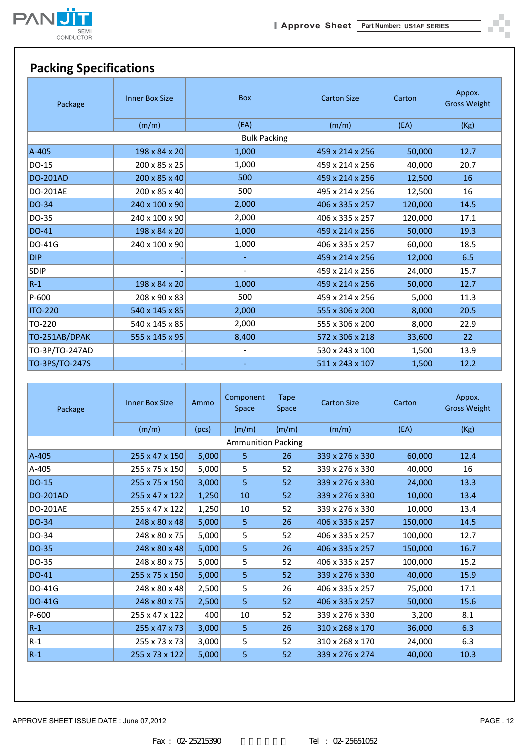

ð. шú



| Package         | <b>Inner Box Size</b> | <b>Box</b>          | <b>Carton Size</b> | Carton  | Appox.<br><b>Gross Weight</b> |
|-----------------|-----------------------|---------------------|--------------------|---------|-------------------------------|
|                 | (m/m)                 | (EA)                | (m/m)              | (EA)    | (Kg)                          |
|                 |                       | <b>Bulk Packing</b> |                    |         |                               |
| A-405           | 198 x 84 x 20         | 1,000               | 459 x 214 x 256    | 50,000  | 12.7                          |
| DO-15           | 200 x 85 x 25         | 1,000               | 459 x 214 x 256    | 40,000  | 20.7                          |
| <b>DO-201AD</b> | 200 x 85 x 40         | 500                 | 459 x 214 x 256    | 12,500  | 16                            |
| DO-201AE        | 200 x 85 x 40         | 500                 | 495 x 214 x 256    | 12,500  | 16                            |
| DO-34           | 240 x 100 x 90        | 2,000               | 406 x 335 x 257    | 120,000 | 14.5                          |
| DO-35           | 240 x 100 x 90        | 2,000               | 406 x 335 x 257    | 120,000 | 17.1                          |
| <b>DO-41</b>    | 198 x 84 x 20         | 1,000               | 459 x 214 x 256    | 50,000  | 19.3                          |
| DO-41G          | 240 x 100 x 90        | 1,000               | 406 x 335 x 257    | 60,000  | 18.5                          |
| <b>DIP</b>      |                       |                     | 459 x 214 x 256    | 12,000  | 6.5                           |
| <b>SDIP</b>     |                       |                     | 459 x 214 x 256    | 24,000  | 15.7                          |
| $R-1$           | 198 x 84 x 20         | 1,000               | 459 x 214 x 256    | 50,000  | 12.7                          |
| P-600           | 208 x 90 x 83         | 500                 | 459 x 214 x 256    | 5,000   | 11.3                          |
| <b>ITO-220</b>  | 540 x 145 x 85        | 2,000               | 555 x 306 x 200    | 8,000   | 20.5                          |
| TO-220          | 540 x 145 x 85        | 2,000               | 555 x 306 x 200    | 8,000   | 22.9                          |
| TO-251AB/DPAK   | 555 x 145 x 95        | 8,400               | 572 x 306 x 218    | 33,600  | 22                            |
| TO-3P/TO-247AD  |                       | -                   | 530 x 243 x 100    | 1,500   | 13.9                          |
| TO-3PS/TO-247S  |                       |                     | 511 x 243 x 107    | 1,500   | 12.2                          |

| Package         | <b>Inner Box Size</b>     | Ammo  | Component<br>Space | Tape<br>Space | <b>Carton Size</b> | Carton  | Appox.<br><b>Gross Weight</b> |  |
|-----------------|---------------------------|-------|--------------------|---------------|--------------------|---------|-------------------------------|--|
|                 | (m/m)                     | (pcs) | (m/m)              | (m/m)         | (m/m)              | (EA)    | (Kg)                          |  |
|                 | <b>Ammunition Packing</b> |       |                    |               |                    |         |                               |  |
| A-405           | 255 x 47 x 150            | 5,000 | 5.                 | 26            | 339 x 276 x 330    | 60,000  | 12.4                          |  |
| A-405           | 255 x 75 x 150            | 5,000 | 5                  | 52            | 339 x 276 x 330    | 40,000  | 16                            |  |
| DO-15           | 255 x 75 x 150            | 3,000 | 5                  | 52            | 339 x 276 x 330    | 24,000  | 13.3                          |  |
| <b>DO-201AD</b> | 255 x 47 x 122            | 1,250 | 10                 | 52            | 339 x 276 x 330    | 10,000  | 13.4                          |  |
| <b>DO-201AE</b> | 255 x 47 x 122            | 1,250 | 10                 | 52            | 339 x 276 x 330    | 10,000  | 13.4                          |  |
| DO-34           | 248 x 80 x 48             | 5,000 | 5                  | 26            | 406 x 335 x 257    | 150,000 | 14.5                          |  |
| DO-34           | 248 x 80 x 75             | 5,000 | 5                  | 52            | 406 x 335 x 257    | 100,000 | 12.7                          |  |
| DO-35           | 248 x 80 x 48             | 5,000 | 5                  | 26            | 406 x 335 x 257    | 150,000 | 16.7                          |  |
| DO-35           | 248 x 80 x 75             | 5,000 | 5                  | 52            | 406 x 335 x 257    | 100,000 | 15.2                          |  |
| DO-41           | 255 x 75 x 150            | 5,000 | 5                  | 52            | 339 x 276 x 330    | 40,000  | 15.9                          |  |
| <b>DO-41G</b>   | 248 x 80 x 48             | 2,500 | 5                  | 26            | 406 x 335 x 257    | 75,000  | 17.1                          |  |
| <b>DO-41G</b>   | 248 x 80 x 75             | 2,500 | 5                  | 52            | 406 x 335 x 257    | 50,000  | 15.6                          |  |
| P-600           | 255 x 47 x 122            | 400   | 10                 | 52            | 339 x 276 x 330    | 3,200   | 8.1                           |  |
| $R-1$           | 255 x 47 x 73             | 3,000 | 5                  | 26            | 310 x 268 x 170    | 36,000  | 6.3                           |  |
| $ R-1 $         | $255 \times 73 \times 73$ | 3,000 | 5                  | 52            | 310 x 268 x 170    | 24,000  | 6.3                           |  |
| $R-1$           | 255 x 73 x 122            | 5,000 | 5                  | 52            | 339 x 276 x 274    | 40,000  | 10.3                          |  |